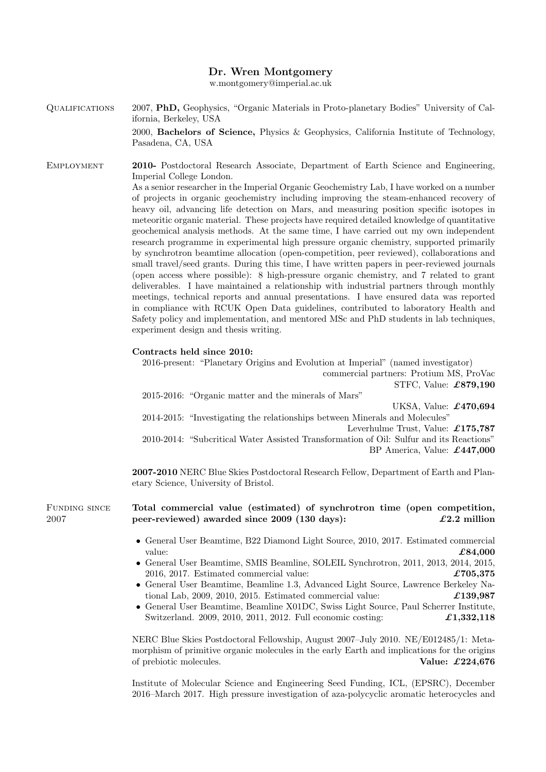### Dr. Wren Montgomery

w.montgomery@imperial.ac.uk

<span id="page-0-0"></span>Qualifications 2007, PhD, Geophysics, "Organic Materials in Proto-planetary Bodies" University of California, Berkeley, USA 2000, Bachelors of Science, Physics & Geophysics, California Institute of Technology, Pasadena, CA, USA

Employment 2010- Postdoctoral Research Associate, Department of Earth Science and Engineering, Imperial College London.

As a senior researcher in the Imperial Organic Geochemistry Lab, I have worked on a number of projects in organic geochemistry including improving the steam-enhanced recovery of heavy oil, advancing life detection on Mars, and measuring position specific isotopes in meteoritic organic material. These projects have required detailed knowledge of quantitative geochemical analysis methods. At the same time, I have carried out my own independent research programme in experimental high pressure organic chemistry, supported primarily by synchrotron beamtime allocation (open-competition, peer reviewed), collaborations and small travel/seed grants. During this time, I have written papers in peer-reviewed journals (open access where possible): 8 high-pressure organic chemistry, and 7 related to grant deliverables. I have maintained a relationship with industrial partners through monthly meetings, technical reports and annual presentations. I have ensured data was reported in compliance with RCUK Open Data guidelines, contributed to laboratory Health and Safety policy and implementation, and mentored MSc and PhD students in lab techniques, experiment design and thesis writing.

### Contracts held since 2010:

2016-present: "Planetary Origins and Evolution at Imperial" (named investigator) commercial partners: Protium MS, ProVac STFC, Value: £879,190 2015-2016: "Organic matter and the minerals of Mars"

UKSA, Value: £470,694 2014-2015: "Investigating the relationships between Minerals and Molecules" Leverhulme Trust, Value: £175,787 2010-2014: "Subcritical Water Assisted Transformation of Oil: Sulfur and its Reactions" BP America, Value: £447,000

2007-2010 NERC Blue Skies Postdoctoral Research Fellow, Department of Earth and Planetary Science, University of Bristol.

FUNDING SINCE 2007

## Total commercial value (estimated) of synchrotron time (open competition, peer-reviewed) awarded since  $2009$  (130 days):  $\qquad \qquad \text{\it \pounds}2.2 \text{ million}$

- General User Beamtime, B22 Diamond Light Source, 2010, 2017. Estimated commercial value:  $\pmb{\pounds}84,000$
- General User Beamtime, SMIS Beamline, SOLEIL Synchrotron, 2011, 2013, 2014, 2015, 2016, 2017. Estimated commercial value:  $\pounds 705.375$
- General User Beamtime, Beamline 1.3, Advanced Light Source, Lawrence Berkeley National Lab, 2009, 2010, 2015. Estimated commercial value:  $\pounds$ 139,987
- General User Beamtime, Beamline X01DC, Swiss Light Source, Paul Scherrer Institute, Switzerland. 2009, 2010, 2011, 2012. Full economic costing:  $\pounds$ **1,332,118**

NERC Blue Skies Postdoctoral Fellowship, August 2007–July 2010. NE/E012485/1: Metamorphism of primitive organic molecules in the early Earth and implications for the origins of prebiotic molecules. Value: £224,676

Institute of Molecular Science and Engineering Seed Funding, ICL, (EPSRC), December 2016–March 2017. High pressure investigation of aza-polycyclic aromatic heterocycles and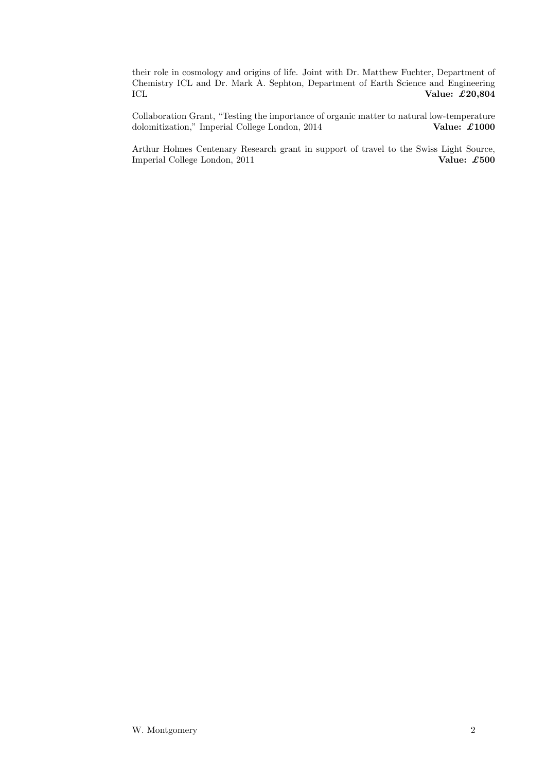their role in cosmology and origins of life. Joint with Dr. Matthew Fuchter, Department of Chemistry ICL and Dr. Mark A. Sephton, Department of Earth Science and Engineering ICL Value:  $\mathcal{L}20,804$ 

Collaboration Grant, "Testing the importance of organic matter to natural low-temperature dolomitization," Imperial College London, 2014 Value:  $\pounds 1000$ dolomitization," Imperial College London, 2014

Arthur Holmes Centenary Research grant in support of travel to the Swiss Light Source, Imperial College London, 2011 Value: £500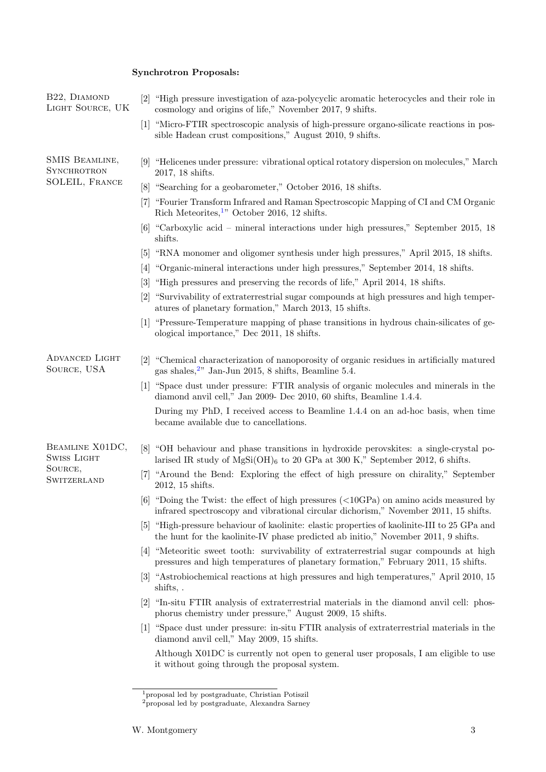# Synchrotron Proposals:

| B22, DIAMOND<br>LIGHT SOURCE, UK                                | "High pressure investigation of aza-polycyclic aromatic heterocycles and their role in<br> 2 <br>cosmology and origins of life," November 2017, 9 shifts.                               |
|-----------------------------------------------------------------|-----------------------------------------------------------------------------------------------------------------------------------------------------------------------------------------|
|                                                                 | "Micro-FTIR spectroscopic analysis of high-pressure organo-silicate reactions in pos-<br> 1 <br>sible Hadean crust compositions," August 2010, 9 shifts.                                |
| SMIS BEAMLINE,<br><b>SYNCHROTRON</b><br>SOLEIL, FRANCE          | [9] "Helicenes under pressure: vibrational optical rotatory dispersion on molecules," March<br>2017, 18 shifts.                                                                         |
|                                                                 | "Searching for a geobarometer," October 2016, 18 shifts.<br> 8                                                                                                                          |
|                                                                 | "Fourier Transform Infrared and Raman Spectroscopic Mapping of CI and CM Organic<br> 7 <br>Rich Meteorites, <sup>1</sup> " October 2016, 12 shifts.                                     |
|                                                                 | [6] "Carboxylic acid - mineral interactions under high pressures," September 2015, 18<br>shifts.                                                                                        |
|                                                                 | "RNA monomer and oligomer synthesis under high pressures," April 2015, 18 shifts.<br> 5                                                                                                 |
|                                                                 | "Organic-mineral interactions under high pressures," September 2014, 18 shifts.<br> 4                                                                                                   |
|                                                                 | "High pressures and preserving the records of life," April 2014, 18 shifts.<br>$\lceil 3 \rceil$                                                                                        |
|                                                                 | "Survivability of extraterrestrial sugar compounds at high pressures and high temper-<br> 2 <br>atures of planetary formation," March 2013, 15 shifts.                                  |
|                                                                 | [1] "Pressure-Temperature mapping of phase transitions in hydrous chain-silicates of ge-<br>ological importance," Dec 2011, 18 shifts.                                                  |
| <b>ADVANCED LIGHT</b><br>SOURCE, USA                            | 2 <br>"Chemical characterization of nanoporosity of organic residues in artificially matured<br>gas shales, $2$ " Jan-Jun 2015, 8 shifts, Beamline 5.4.                                 |
|                                                                 | [1] "Space dust under pressure: FTIR analysis of organic molecules and minerals in the<br>diamond anvil cell," Jan 2009- Dec 2010, 60 shifts, Beamline 1.4.4.                           |
|                                                                 | During my PhD, I received access to Beamline 1.4.4 on an ad-hoc basis, when time<br>became available due to cancellations.                                                              |
| BEAMLINE X01DC,<br><b>SWISS LIGHT</b><br>SOURCE,<br>SWITZERLAND | "OH behaviour and phase transitions in hydroxide perovskites: a single-crystal po-<br> 8 <br>larised IR study of $MgSi(OH)_6$ to 20 GPa at 300 K," September 2012, 6 shifts.            |
|                                                                 | $\vert 7 \vert$<br>"Around the Bend: Exploring the effect of high pressure on chirality," September<br>2012, 15 shifts.                                                                 |
|                                                                 | [6] "Doing the Twist: the effect of high pressures $\left($ < 10GPa) on amino acids measured by<br>infrared spectroscopy and vibrational circular dichorism," November 2011, 15 shifts. |
|                                                                 | "High-pressure behaviour of kaolinite: elastic properties of kaolinite-III to 25 GPa and<br> 5 <br>the hunt for the kaolinite-IV phase predicted ab initio," November 2011, 9 shifts.   |
|                                                                 | [4] "Meteoritic sweet tooth: survivability of extraterrestrial sugar compounds at high<br>pressures and high temperatures of planetary formation," February 2011, 15 shifts.            |
|                                                                 | "Astrobiochemical reactions at high pressures and high temperatures," April 2010, 15<br> 3 <br>shifts,.                                                                                 |
|                                                                 | "In-situ FTIR analysis of extraterrestrial materials in the diamond anvil cell: phos-<br> 2 <br>phorus chemistry under pressure," August 2009, 15 shifts.                               |
|                                                                 | [1] "Space dust under pressure: in-situ FTIR analysis of extraterrestrial materials in the<br>diamond anvil cell," May 2009, 15 shifts.                                                 |
|                                                                 | Although X01DC is currently not open to general user proposals, I am eligible to use<br>it without going through the proposal system.                                                   |
|                                                                 |                                                                                                                                                                                         |

<sup>1</sup>proposal led by postgraduate, Christian Potiszil

<sup>2</sup>proposal led by postgraduate, Alexandra Sarney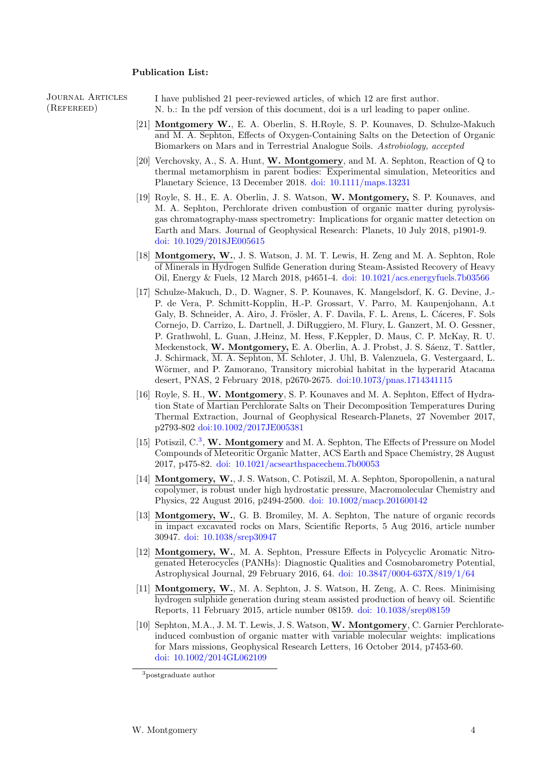### Publication List:

Journal Articles (Refereed)

I have published 21 peer-reviewed articles, of which 12 are first author. N. b.: In the pdf version of this document, doi is a url leading to paper online.

- [21] Montgomery W., E. A. Oberlin, S. H.Royle, S. P. Kounaves, D. Schulze-Makuch and M. A. Sephton, Effects of Oxygen-Containing Salts on the Detection of Organic Biomarkers on Mars and in Terrestrial Analogue Soils. Astrobiology, accepted
- [20] Verchovsky, A., S. A. Hunt, W. Montgomery, and M. A. Sephton, Reaction of Q to thermal metamorphism in parent bodies: Experimental simulation, Meteoritics and Planetary Science, 13 December 2018. [doi: 10.1111/maps.13231](https://doi.org/10.1111/maps.13231)
- [19] Royle, S. H., E. A. Oberlin, J. S. Watson, W. Montgomery, S. P. Kounaves, and M. A. Sephton, Perchlorate driven combustion of organic matter during pyrolysisgas chromatography-mass spectrometry: Implications for organic matter detection on Earth and Mars. Journal of Geophysical Research: Planets, 10 July 2018, p1901-9. [doi: 10.1029/2018JE005615](https://doi.org/10.1029/2018JE005615)
- [18] Montgomery, W., J. S. Watson, J. M. T. Lewis, H. Zeng and M. A. Sephton, Role of Minerals in Hydrogen Sulfide Generation during Steam-Assisted Recovery of Heavy Oil, Energy & Fuels, 12 March 2018, p4651-4. [doi: 10.1021/acs.energyfuels.7b03566](http://dx.doi.org/10.1021/acs.energyfuels.7b03566)
- [17] Schulze-Makuch, D., D. Wagner, S. P. Kounaves, K. Mangelsdorf, K. G. Devine, J.- P. de Vera, P. Schmitt-Kopplin, H.-P. Grossart, V. Parro, M. Kaupenjohann, A.t Galy, B. Schneider, A. Airo, J. Frösler, A. F. Davila, F. L. Arens, L. Cáceres, F. Sols Cornejo, D. Carrizo, L. Dartnell, J. DiRuggiero, M. Flury, L. Ganzert, M. O. Gessner, P. Grathwohl, L. Guan, J.Heinz, M. Hess, F.Keppler, D. Maus, C. P. McKay, R. U. Meckenstock, W. Montgomery, E. A. Oberlin, A. J. Probst, J. S. Sáenz, T. Sattler, J. Schirmack, M. A. Sephton, M. Schloter, J. Uhl, B. Valenzuela, G. Vestergaard, L. Wörmer, and P. Zamorano, Transitory microbial habitat in the hyperarid Atacama desert, PNAS, 2 February 2018, p2670-2675. [doi:10.1073/pnas.1714341115](http://dx.doi.org/10.1073/pnas.1714341115)
- [16] Royle, S. H., W. Montgomery, S. P. Kounaves and M. A. Sephton, Effect of Hydration State of Martian Perchlorate Salts on Their Decomposition Temperatures During Thermal Extraction, Journal of Geophysical Research-Planets, 27 November 2017, p2793-802 [doi:10.1002/2017JE005381](http://dx.doi.org/10.1002/2017JE005381)
- [15] Potiszil, C.<sup>[3](#page-0-0)</sup>, W. Montgomery and M. A. Sephton, The Effects of Pressure on Model Compounds of Meteoritic Organic Matter, ACS Earth and Space Chemistry, 28 August 2017, p475-82. [doi: 10.1021/acsearthspacechem.7b00053](http://dx.doi.org/10.1021/acsearthspacechem.7b00053)
- [14] Montgomery, W., J. S. Watson, C. Potiszil, M. A. Sephton, Sporopollenin, a natural copolymer, is robust under high hydrostatic pressure, Macromolecular Chemistry and Physics, 22 August 2016, p2494-2500. [doi: 10.1002/macp.201600142](http://dx.doi.org/10.1002/macp.201600142)
- [13] Montgomery, W., G. B. Bromiley, M. A. Sephton, The nature of organic records in impact excavated rocks on Mars, Scientific Reports, 5 Aug 2016, article number 30947. [doi: 10.1038/srep30947](http://dx.doi.org/10.1038/srep30947)
- [12] Montgomery, W., M. A. Sephton, Pressure Effects in Polycyclic Aromatic Nitrogenated Heterocycles (PANHs): Diagnostic Qualities and Cosmobarometry Potential, Astrophysical Journal, 29 February 2016, 64. [doi: 10.3847/0004-637X/819/1/64](https://dx.doi.org/10.3847/0004-637X/819/1/64)
- [11] Montgomery, W., M. A. Sephton, J. S. Watson, H. Zeng, A. C. Rees. Minimising hydrogen sulphide generation during steam assisted production of heavy oil. Scientific Reports, 11 February 2015, article number 08159. [doi: 10.1038/srep08159](http://dx.doi.org/10.1038/srep08159)
- [10] Sephton, M.A., J. M. T. Lewis, J. S. Watson, W. Montgomery, C. Garnier Perchlorateinduced combustion of organic matter with variable molecular weights: implications for Mars missions, Geophysical Research Letters, 16 October 2014, p7453-60. [doi: 10.1002/2014GL062109](http://dx.doi.org/10.1002/2014GL062109)

<sup>&</sup>lt;sup>3</sup>postgraduate author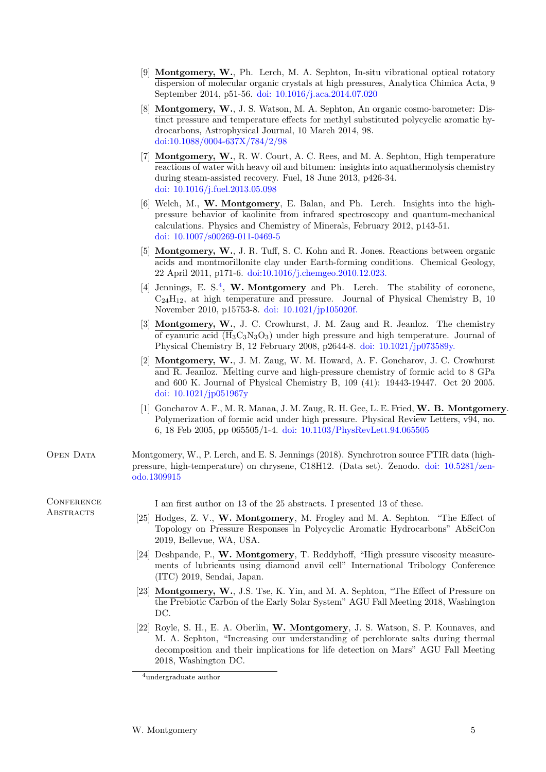- [9] Montgomery, W., Ph. Lerch, M. A. Sephton, In-situ vibrational optical rotatory dispersion of molecular organic crystals at high pressures, Analytica Chimica Acta, 9 September 2014, p51-56. [doi: 10.1016/j.aca.2014.07.020](http://dx.doi.org/10.1016/j.aca.2014.07.020)
- [8] Montgomery, W., J. S. Watson, M. A. Sephton, An organic cosmo-barometer: Distinct pressure and temperature effects for methyl substituted polycyclic aromatic hydrocarbons, Astrophysical Journal, 10 March 2014, 98. [doi:10.1088/0004-637X/784/2/98](http://dx.doi.org/10.1088/0004-637X/784/2/98)
- [7] Montgomery, W., R. W. Court, A. C. Rees, and M. A. Sephton, High temperature reactions of water with heavy oil and bitumen: insights into aquathermolysis chemistry during steam-assisted recovery. Fuel, 18 June 2013, p426-34. [doi: 10.1016/j.fuel.2013.05.098](http://dx.doi.org/10.1016/j.fuel.2013.05.098)
- [6] Welch, M., W. Montgomery, E. Balan, and Ph. Lerch. Insights into the highpressure behavior of kaolinite from infrared spectroscopy and quantum-mechanical calculations. Physics and Chemistry of Minerals, February 2012, p143-51. [doi: 10.1007/s00269-011-0469-5](http://dx.doi.org/10.1007/s00269-011-0469-5)
- [5] Montgomery, W., J. R. Tuff, S. C. Kohn and R. Jones. Reactions between organic acids and montmorillonite clay under Earth-forming conditions. Chemical Geology, 22 April 2011, p171-6. [doi:10.1016/j.chemgeo.2010.12.023.](http://dx.doi.org/10.1016/j.chemgeo.2010.12.023)
- [[4](#page-0-0)] Jennings, E. S.<sup>4</sup>, W. Montgomery and Ph. Lerch. The stability of coronene,  $C_{24}H_{12}$ , at high temperature and pressure. Journal of Physical Chemistry B, 10 November 2010, p15753-8. [doi: 10.1021/jp105020f.](http://dx.doi.org/10.1021/jp105020f)
- [3] Montgomery, W., J. C. Crowhurst, J. M. Zaug and R. Jeanloz. The chemistry of cyanuric acid  $(\overline{H}_3C_3N_3O_3)$  under high pressure and high temperature. Journal of Physical Chemistry B, 12 February 2008, p2644-8. [doi: 10.1021/jp073589y.](http://dx.doi.org/10.1021/jp073589y)
- [2] Montgomery, W., J. M. Zaug, W. M. Howard, A. F. Goncharov, J. C. Crowhurst and R. Jeanloz. Melting curve and high-pressure chemistry of formic acid to 8 GPa and 600 K. Journal of Physical Chemistry B, 109 (41): 19443-19447. Oct 20 2005. [doi: 10.1021/jp051967y](http://dx.doi.org/10.1021/jp051967y)
- [1] Goncharov A. F., M. R. Manaa, J. M. Zaug, R. H. Gee, L. E. Fried, W. B. Montgomery. Polymerization of formic acid under high pressure. Physical Review Letters, v94, no. 6, 18 Feb 2005, pp 065505/1-4. [doi: 10.1103/PhysRevLett.94.065505](http://dx.doi.org/10.1103/PhysRevLett.94.065505)
- Open Data Montgomery, W., P. Lerch, and E. S. Jennings (2018). Synchrotron source FTIR data (highpressure, high-temperature) on chrysene, C18H12. (Data set). Zenodo. [doi: 10.5281/zen](http://doi.org/10.5281/zenodo.1309915)[odo.1309915](http://doi.org/10.5281/zenodo.1309915)

### **CONFERENCE ABSTRACTS**

I am first author on 13 of the 25 abstracts. I presented 13 of these.

- [25] Hodges, Z. V., W. Montgomery, M. Frogley and M. A. Sephton. "The Effect of Topology on Pressure Responses in Polycyclic Aromatic Hydrocarbons" AbSciCon 2019, Bellevue, WA, USA.
- [24] Deshpande, P., W. Montgomery, T. Reddyhoff, "High pressure viscosity measurements of lubricants using diamond anvil cell" International Tribology Conference (ITC) 2019, Sendai, Japan.
- [23] **Montgomery, W.,** J.S. Tse, K. Yin, and M. A. Sephton, "The Effect of Pressure on the Prebiotic Carbon of the Early Solar System" AGU Fall Meeting 2018, Washington DC.
- [22] Royle, S. H., E. A. Oberlin, W. Montgomery, J. S. Watson, S. P. Kounaves, and M. A. Sephton, "Increasing our understanding of perchlorate salts during thermal decomposition and their implications for life detection on Mars" AGU Fall Meeting 2018, Washington DC.

<sup>4</sup>undergraduate author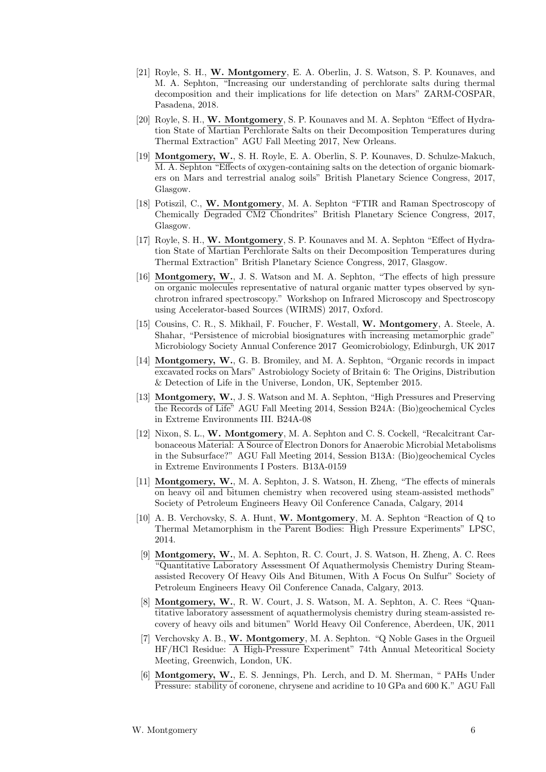- [21] Royle, S. H., W. Montgomery, E. A. Oberlin, J. S. Watson, S. P. Kounaves, and M. A. Sephton, "Increasing our understanding of perchlorate salts during thermal decomposition and their implications for life detection on Mars" ZARM-COSPAR, Pasadena, 2018.
- [20] Royle, S. H., W. Montgomery, S. P. Kounaves and M. A. Sephton "Effect of Hydration State of Martian Perchlorate Salts on their Decomposition Temperatures during Thermal Extraction" AGU Fall Meeting 2017, New Orleans.
- [19] Montgomery, W., S. H. Royle, E. A. Oberlin, S. P. Kounaves, D. Schulze-Makuch, M. A. Sephton "Effects of oxygen-containing salts on the detection of organic biomarkers on Mars and terrestrial analog soils" British Planetary Science Congress, 2017, Glasgow.
- [18] Potiszil, C., W. Montgomery, M. A. Sephton "FTIR and Raman Spectroscopy of Chemically Degraded CM2 Chondrites" British Planetary Science Congress, 2017, Glasgow.
- [17] Royle, S. H., W. Montgomery, S. P. Kounaves and M. A. Sephton "Effect of Hydration State of Martian Perchlorate Salts on their Decomposition Temperatures during Thermal Extraction" British Planetary Science Congress, 2017, Glasgow.
- [16] Montgomery, W., J. S. Watson and M. A. Sephton, "The effects of high pressure on organic molecules representative of natural organic matter types observed by synchrotron infrared spectroscopy." Workshop on Infrared Microscopy and Spectroscopy using Accelerator-based Sources (WIRMS) 2017, Oxford.
- [15] Cousins, C. R., S. Mikhail, F. Foucher, F. Westall, W. Montgomery, A. Steele, A. Shahar, "Persistence of microbial biosignatures with increasing metamorphic grade" Microbiology Society Annual Conference 2017 Geomicrobiology, Edinburgh, UK 2017
- [14] Montgomery, W., G. B. Bromiley, and M. A. Sephton, "Organic records in impact excavated rocks on Mars" Astrobiology Society of Britain 6: The Origins, Distribution & Detection of Life in the Universe, London, UK, September 2015.
- [13] Montgomery, W., J. S. Watson and M. A. Sephton, "High Pressures and Preserving the Records of Life" AGU Fall Meeting 2014, Session B24A: (Bio)geochemical Cycles in Extreme Environments III. B24A-08
- [12] Nixon, S. L., W. Montgomery, M. A. Sephton and C. S. Cockell, "Recalcitrant Carbonaceous Material: A Source of Electron Donors for Anaerobic Microbial Metabolisms in the Subsurface?" AGU Fall Meeting 2014, Session B13A: (Bio)geochemical Cycles in Extreme Environments I Posters. B13A-0159
- [11] Montgomery, W., M. A. Sephton, J. S. Watson, H. Zheng, "The effects of minerals on heavy oil and bitumen chemistry when recovered using steam-assisted methods" Society of Petroleum Engineers Heavy Oil Conference Canada, Calgary, 2014
- [10] A. B. Verchovsky, S. A. Hunt, W. Montgomery, M. A. Sephton "Reaction of Q to Thermal Metamorphism in the Parent Bodies: High Pressure Experiments" LPSC, 2014.
- [9] Montgomery, W., M. A. Sephton, R. C. Court, J. S. Watson, H. Zheng, A. C. Rees "Quantitative Laboratory Assessment Of Aquathermolysis Chemistry During Steamassisted Recovery Of Heavy Oils And Bitumen, With A Focus On Sulfur" Society of Petroleum Engineers Heavy Oil Conference Canada, Calgary, 2013.
- [8] Montgomery, W., R. W. Court, J. S. Watson, M. A. Sephton, A. C. Rees "Quantitative laboratory assessment of aquathermolysis chemistry during steam-assisted recovery of heavy oils and bitumen" World Heavy Oil Conference, Aberdeen, UK, 2011
- [7] Verchovsky A. B., W. Montgomery, M. A. Sephton. "Q Noble Gases in the Orgueil HF/HCl Residue: A High-Pressure Experiment" 74th Annual Meteoritical Society Meeting, Greenwich, London, UK.
- [6] Montgomery, W., E. S. Jennings, Ph. Lerch, and D. M. Sherman, " PAHs Under Pressure: stability of coronene, chrysene and acridine to 10 GPa and 600 K." AGU Fall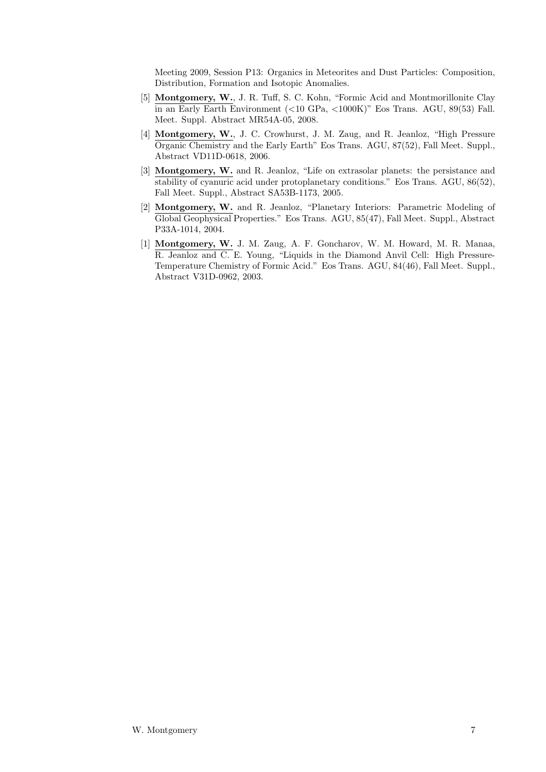Meeting 2009, Session P13: Organics in Meteorites and Dust Particles: Composition, Distribution, Formation and Isotopic Anomalies.

- [5] Montgomery, W., J. R. Tuff, S. C. Kohn, "Formic Acid and Montmorillonite Clay in an Early Earth Environment (<10 GPa, <1000K)" Eos Trans. AGU, 89(53) Fall. Meet. Suppl. Abstract MR54A-05, 2008.
- [4] Montgomery, W., J. C. Crowhurst, J. M. Zaug, and R. Jeanloz, "High Pressure Organic Chemistry and the Early Earth" Eos Trans. AGU, 87(52), Fall Meet. Suppl., Abstract VD11D-0618, 2006.
- [3] Montgomery, W. and R. Jeanloz, "Life on extrasolar planets: the persistance and stability of cyanuric acid under protoplanetary conditions." Eos Trans. AGU, 86(52), Fall Meet. Suppl., Abstract SA53B-1173, 2005.
- [2] Montgomery, W. and R. Jeanloz, "Planetary Interiors: Parametric Modeling of Global Geophysical Properties." Eos Trans. AGU, 85(47), Fall Meet. Suppl., Abstract P33A-1014, 2004.
- [1] Montgomery, W. J. M. Zaug, A. F. Goncharov, W. M. Howard, M. R. Manaa, R. Jeanloz and C. E. Young, "Liquids in the Diamond Anvil Cell: High Pressure-Temperature Chemistry of Formic Acid." Eos Trans. AGU, 84(46), Fall Meet. Suppl., Abstract V31D-0962, 2003.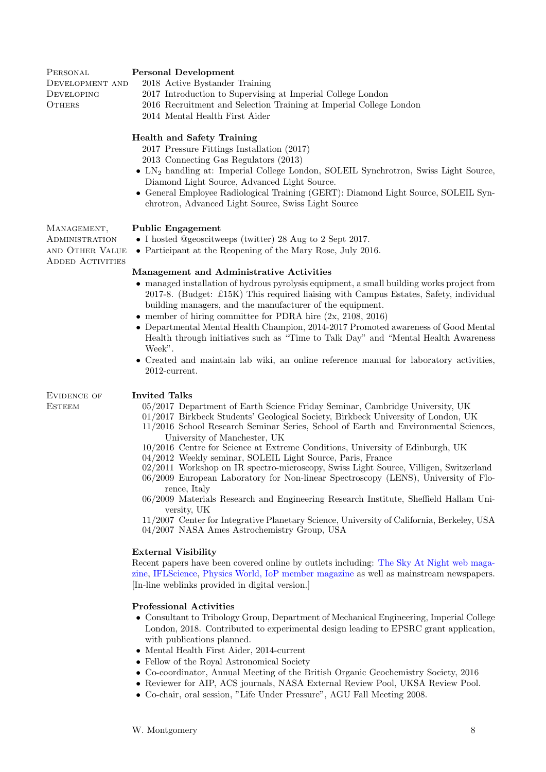### Personal Development

**PERSONAL** Development and **DEVELOPING OTHERS** 

**ADMINISTRATION** and Other Value ADDED ACTIVITIES

- 2018 Active Bystander Training
- 2017 Introduction to Supervising at Imperial College London
- 2016 Recruitment and Selection Training at Imperial College London
	- 2014 Mental Health First Aider

# Health and Safety Training

2017 Pressure Fittings Installation (2017)

- 2013 Connecting Gas Regulators (2013)
- LN<sup>2</sup> handling at: Imperial College London, SOLEIL Synchrotron, Swiss Light Source, Diamond Light Source, Advanced Light Source.
- General Employee Radiological Training (GERT): Diamond Light Source, SOLEIL Synchrotron, Advanced Light Source, Swiss Light Source

### MANAGEMENT, Public Engagement

- I hosted @geoscitweeps (twitter) 28 Aug to 2 Sept 2017.
- Participant at the Reopening of the Mary Rose, July 2016.

# Management and Administrative Activities

- managed installation of hydrous pyrolysis equipment, a small building works project from 2017-8. (Budget: £15K) This required liaising with Campus Estates, Safety, individual building managers, and the manufacturer of the equipment.
- member of hiring committee for PDRA hire  $(2x, 2108, 2016)$
- Departmental Mental Health Champion, 2014-2017 Promoted awareness of Good Mental Health through initiatives such as "Time to Talk Day" and "Mental Health Awareness Week".
- Created and maintain lab wiki, an online reference manual for laboratory activities, 2012-current.

Evidence of **ESTEEM** 

### Invited Talks

- 05/2017 Department of Earth Science Friday Seminar, Cambridge University, UK
- 01/2017 Birkbeck Students' Geological Society, Birkbeck University of London, UK
- 11/2016 School Research Seminar Series, School of Earth and Environmental Sciences, University of Manchester, UK
- 10/2016 Centre for Science at Extreme Conditions, University of Edinburgh, UK
- 04/2012 Weekly seminar, SOLEIL Light Source, Paris, France
- 02/2011 Workshop on IR spectro-microscopy, Swiss Light Source, Villigen, Switzerland
- 06/2009 European Laboratory for Non-linear Spectroscopy (LENS), University of Florence, Italy
- 06/2009 Materials Research and Engineering Research Institute, Sheffield Hallam University, UK
- 11/2007 Center for Integrative Planetary Science, University of California, Berkeley, USA 04/2007 NASA Ames Astrochemistry Group, USA

# External Visibility

Recent papers have been covered online by outlets including: [The Sky At Night web maga](http://www.skyatnightmagazine.com/news/meteor-blasts-destroy-mars-life-signs)[zine,](http://www.skyatnightmagazine.com/news/meteor-blasts-destroy-mars-life-signs) [IFLScience,](http://www.iflscience.com/space/meteorites-might-destroy-evidence-of-life-on-mars/) [Physics World, IoP member magazine](http://physicsworld.com/cws/article/news/2014/apr/03/carbonaceous-cosmic-barometer-reveals-universes-history) as well as mainstream newspapers. [In-line weblinks provided in digital version.]

# Professional Activities

- Consultant to Tribology Group, Department of Mechanical Engineering, Imperial College London, 2018. Contributed to experimental design leading to EPSRC grant application, with publications planned.
- Mental Health First Aider, 2014-current
- Fellow of the Royal Astronomical Society
- Co-coordinator, Annual Meeting of the British Organic Geochemistry Society, 2016
- Reviewer for AIP, ACS journals, NASA External Review Pool, UKSA Review Pool.
- Co-chair, oral session, "Life Under Pressure", AGU Fall Meeting 2008.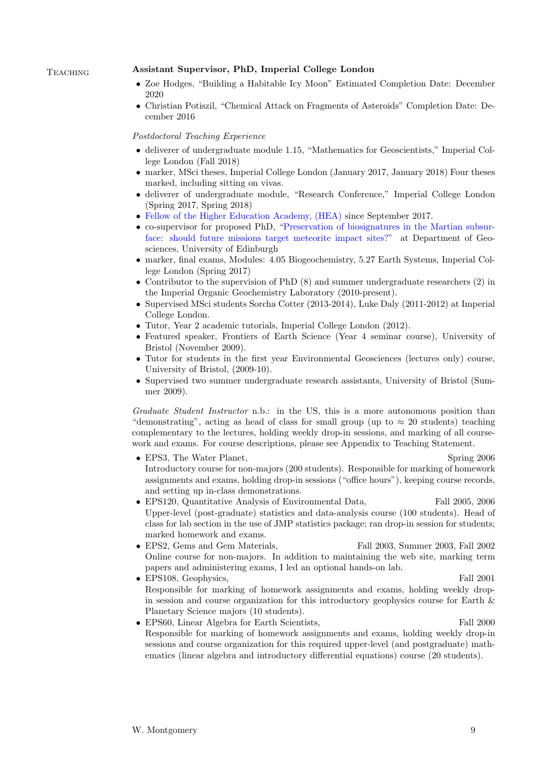### Teaching Assistant Supervisor, PhD, Imperial College London

- Zoe Hodges, "Building a Habitable Icy Moon" Estimated Completion Date: December 2020
- Christian Potiszil, "Chemical Attack on Fragments of Asteroids" Completion Date: December 2016

### Postdoctoral Teaching Experience

- deliverer of undergraduate module 1.15, "Mathematics for Geoscientists," Imperial College London (Fall 2018)
- marker, MSci theses, Imperial College London (January 2017, January 2018) Four theses marked, including sitting on vivas.
- deliverer of undergraduate module, "Research Conference," Imperial College London (Spring 2017, Spring 2018)
- [Fellow of the Higher Education Academy, \(HEA\)](https://www.heacademy.ac.uk/recognition-accreditation/hea-fellowships) since September 2017.
- co-supervisor for proposed PhD, ["Preservation of biosignatures in the Martian subsur](http://www.geos.ed.ac.uk/postgraduate/PhD/getDocument?SerialNo=1115)[face: should future missions target meteorite impact sites?"](http://www.geos.ed.ac.uk/postgraduate/PhD/getDocument?SerialNo=1115) at Department of Geosciences, University of Edinburgh
- marker, final exams, Modules: 4.05 Biogeochemistry, 5.27 Earth Systems, Imperial College London (Spring 2017)
- Contributor to the supervision of PhD (8) and summer undergraduate researchers (2) in the Imperial Organic Geochemistry Laboratory (2010-present).
- Supervised MSci students Sorcha Cotter (2013-2014), Luke Daly (2011-2012) at Imperial College London.
- Tutor, Year 2 academic tutorials, Imperial College London (2012).
- Featured speaker, Frontiers of Earth Science (Year 4 seminar course), University of Bristol (November 2009).
- Tutor for students in the first year Environmental Geosciences (lectures only) course, University of Bristol, (2009-10).
- Supervised two summer undergraduate research assistants, University of Bristol (Summer 2009).

Graduate Student Instructor n.b.: in the US, this is a more autonomous position than "demonstrating", acting as head of class for small group (up to  $\approx 20$  students) teaching complementary to the lectures, holding weekly drop-in sessions, and marking of all coursework and exams. For course descriptions, please see Appendix to Teaching Statement.

- EPS3, The Water Planet, Spring 2006 Introductory course for non-majors (200 students). Responsible for marking of homework assignments and exams, holding drop-in sessions ("office hours"), keeping course records, and setting up in-class demonstrations.
- EPS120, Quantitative Analysis of Environmental Data, Fall 2005, 2006 Upper-level (post-graduate) statistics and data-analysis course (100 students). Head of class for lab section in the use of JMP statistics package; ran drop-in session for students; marked homework and exams.
- EPS2, Gems and Gem Materials, Fall 2003, Summer 2003, Fall 2002 Online course for non-majors. In addition to maintaining the web site, marking term papers and administering exams, I led an optional hands-on lab.
- EPS108, Geophysics, Fall 2001 Responsible for marking of homework assignments and exams, holding weekly dropin session and course organization for this introductory geophysics course for Earth & Planetary Science majors (10 students).
- EPS60, Linear Algebra for Earth Scientists, Fall 2000 Responsible for marking of homework assignments and exams, holding weekly drop-in sessions and course organization for this required upper-level (and postgraduate) mathematics (linear algebra and introductory differential equations) course (20 students).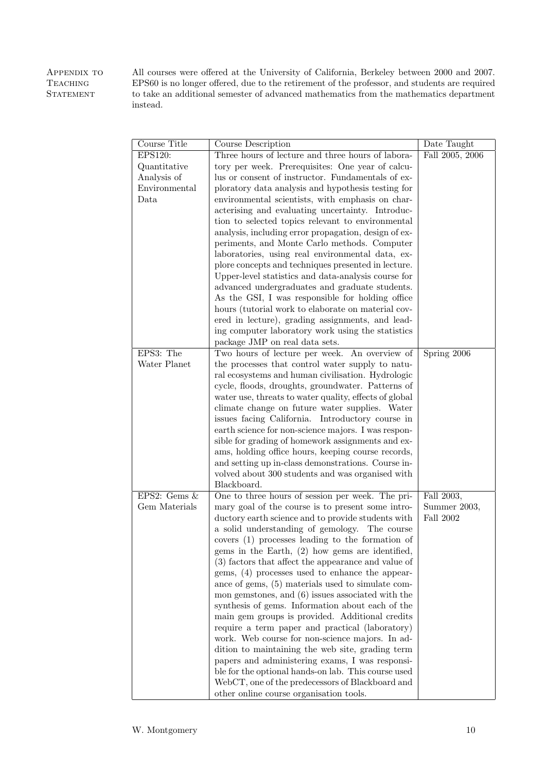APPENDIX TO **TEACHING STATEMENT** All courses were offered at the University of California, Berkeley between 2000 and 2007. EPS60 is no longer offered, due to the retirement of the professor, and students are required to take an additional semester of advanced mathematics from the mathematics department instead.

| Course Title   | Course Description                                                                                 | Date Taught     |
|----------------|----------------------------------------------------------------------------------------------------|-----------------|
| EPS120:        | Three hours of lecture and three hours of labora-                                                  | Fall 2005, 2006 |
| Quantitative   | tory per week. Prerequisites: One year of calcu-                                                   |                 |
| Analysis of    | lus or consent of instructor. Fundamentals of ex-                                                  |                 |
| Environmental  | ploratory data analysis and hypothesis testing for                                                 |                 |
| Data           | environmental scientists, with emphasis on char-                                                   |                 |
|                | acterising and evaluating uncertainty. Introduc-                                                   |                 |
|                | tion to selected topics relevant to environmental                                                  |                 |
|                | analysis, including error propagation, design of ex-                                               |                 |
|                | periments, and Monte Carlo methods. Computer                                                       |                 |
|                | laboratories, using real environmental data, ex-                                                   |                 |
|                | plore concepts and techniques presented in lecture.                                                |                 |
|                | Upper-level statistics and data-analysis course for                                                |                 |
|                | advanced undergraduates and graduate students.<br>As the GSI, I was responsible for holding office |                 |
|                | hours (tutorial work to elaborate on material cov-                                                 |                 |
|                | ered in lecture), grading assignments, and lead-                                                   |                 |
|                | ing computer laboratory work using the statistics                                                  |                 |
|                | package JMP on real data sets.                                                                     |                 |
| EPS3: The      | Two hours of lecture per week. An overview of                                                      | Spring 2006     |
| Water Planet   | the processes that control water supply to natu-                                                   |                 |
|                | ral ecosystems and human civilisation. Hydrologic                                                  |                 |
|                | cycle, floods, droughts, groundwater. Patterns of                                                  |                 |
|                | water use, threats to water quality, effects of global                                             |                 |
|                | climate change on future water supplies. Water                                                     |                 |
|                | issues facing California. Introductory course in                                                   |                 |
|                | earth science for non-science majors. I was respon-                                                |                 |
|                | sible for grading of homework assignments and ex-                                                  |                 |
|                | ams, holding office hours, keeping course records,                                                 |                 |
|                | and setting up in-class demonstrations. Course in-                                                 |                 |
|                | volved about 300 students and was organised with                                                   |                 |
| EPS2: Gems $&$ | Blackboard.<br>One to three hours of session per week. The pri-                                    | Fall 2003,      |
| Gem Materials  | mary goal of the course is to present some intro-                                                  | Summer 2003,    |
|                | ductory earth science and to provide students with                                                 | Fall 2002       |
|                | a solid understanding of gemology. The course                                                      |                 |
|                | covers (1) processes leading to the formation of                                                   |                 |
|                | gems in the Earth, $(2)$ how gems are identified,                                                  |                 |
|                | (3) factors that affect the appearance and value of                                                |                 |
|                | gems, (4) processes used to enhance the appear-                                                    |                 |
|                | ance of gems, (5) materials used to simulate com-                                                  |                 |
|                | mon gemstones, and $(6)$ issues associated with the                                                |                 |
|                | synthesis of gems. Information about each of the                                                   |                 |
|                | main gem groups is provided. Additional credits                                                    |                 |
|                | require a term paper and practical (laboratory)                                                    |                 |
|                | work. Web course for non-science majors. In ad-                                                    |                 |
|                | dition to maintaining the web site, grading term                                                   |                 |
|                | papers and administering exams, I was responsi-                                                    |                 |
|                | ble for the optional hands-on lab. This course used                                                |                 |
|                | WebCT, one of the predecessors of Blackboard and<br>other online course organisation tools.        |                 |
|                |                                                                                                    |                 |